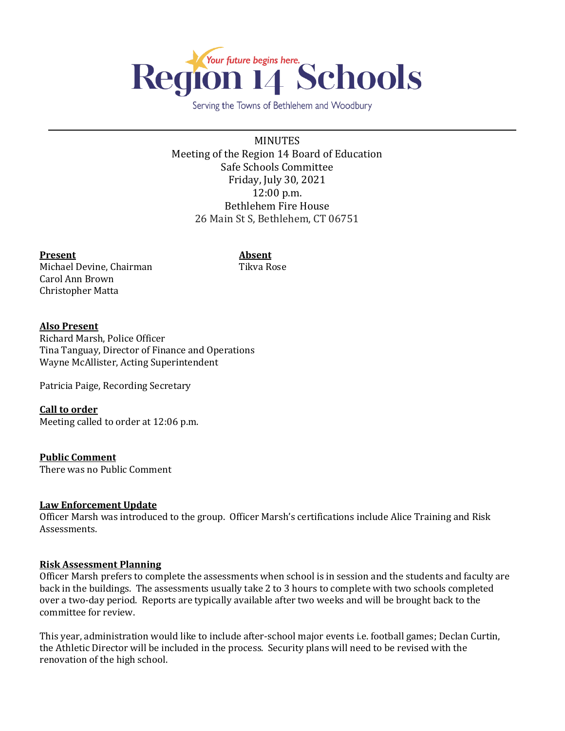

Serving the Towns of Bethlehem and Woodbury

MINUTES Meeting of the Region 14 Board of Education Safe Schools Committee Friday, July 30, 2021 12:00 p.m. Bethlehem Fire House 26 Main St S, Bethlehem, CT 06751

#### **Present Absent**

Michael Devine, Chairman Tikva Rose Carol Ann Brown Christopher Matta

# **Also Present**

Richard Marsh, Police Officer Tina Tanguay, Director of Finance and Operations Wayne McAllister, Acting Superintendent

Patricia Paige, Recording Secretary

## **Call to order**

Meeting called to order at 12:06 p.m.

## **Public Comment**

There was no Public Comment

## **Law Enforcement Update**

Officer Marsh was introduced to the group. Officer Marsh's certifications include Alice Training and Risk Assessments.

## **Risk Assessment Planning**

Officer Marsh prefers to complete the assessments when school is in session and the students and faculty are back in the buildings. The assessments usually take 2 to 3 hours to complete with two schools completed over a two-day period. Reports are typically available after two weeks and will be brought back to the committee for review.

This year, administration would like to include after-school major events i.e. football games; Declan Curtin, the Athletic Director will be included in the process. Security plans will need to be revised with the renovation of the high school.